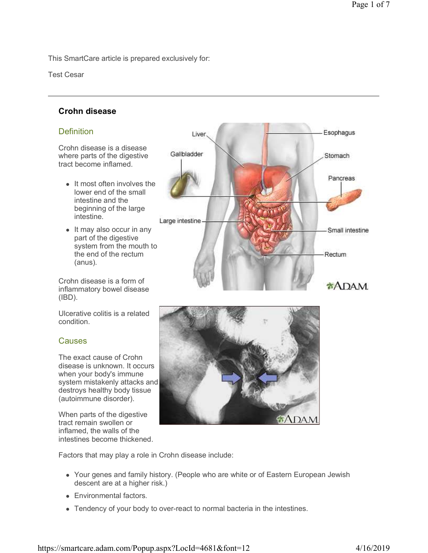This SmartCare article is prepared exclusively for:

Test Cesar

# **Crohn disease**

# **Definition**

Crohn disease is a disease where parts of the digestive tract become inflamed.

- It most often involves the lower end of the small intestine and the beginning of the large intestine.
- It may also occur in any part of the digestive system from the mouth to the end of the rectum (anus).

Crohn disease is a form of inflammatory bowel disease (IBD).

Ulcerative colitis is a related condition.

# **Causes**

The exact cause of Crohn disease is unknown. It occurs when your body's immune system mistakenly attacks and destroys healthy body tissue (autoimmune disorder).

When parts of the digestive tract remain swollen or inflamed, the walls of the intestines become thickened.





Factors that may play a role in Crohn disease include:

- Your genes and family history. (People who are white or of Eastern European Jewish descent are at a higher risk.)
- Environmental factors.
- Tendency of your body to over-react to normal bacteria in the intestines.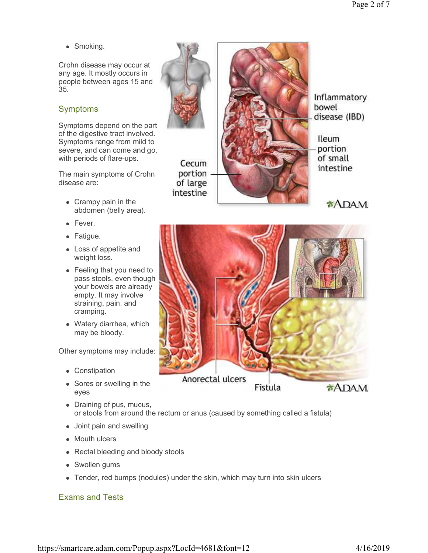• Smoking.

Crohn disease may occur at any age. It mostly occurs in people between ages 15 and 35.

# Symptoms

Symptoms depend on the part of the digestive tract involved. Symptoms range from mild to severe, and can come and go, with periods of flare-ups.

The main symptoms of Crohn disease are:

- Crampy pain in the abdomen (belly area).
- Fever.
- Fatigue.
- Loss of appetite and weight loss.
- Feeling that you need to pass stools, even though your bowels are already empty. It may involve straining, pain, and cramping.
- Watery diarrhea, which may be bloody.

Other symptoms may include:

- Constipation
- Sores or swelling in the eyes
- Draining of pus, mucus, or stools from around the rectum or anus (caused by something called a fistula)
- Joint pain and swelling
- Mouth ulcers
- Rectal bleeding and bloody stools
- Swollen gums
- Tender, red bumps (nodules) under the skin, which may turn into skin ulcers

# Exams and Tests



Inflammatory bowel disease (IBD)

**Ileum** portion of small intestine

**ADAM** 

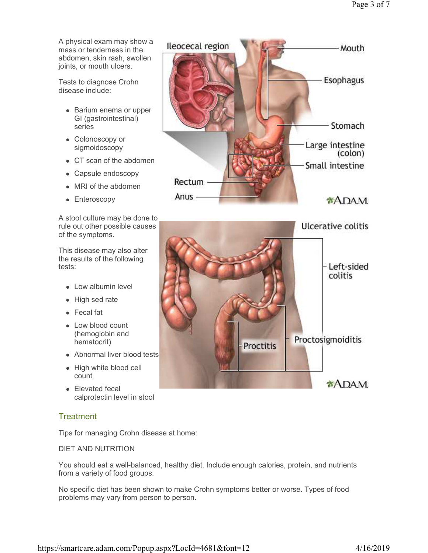A physical exam may show a mass or tenderness in the abdomen, skin rash, swollen joints, or mouth ulcers.

Tests to diagnose Crohn disease include:

- Barium enema or upper GI (gastrointestinal) series
- Colonoscopy or sigmoidoscopy
- CT scan of the abdomen
- Capsule endoscopy
- MRI of the abdomen
- Enteroscopy

A stool culture may be done to rule out other possible causes of the symptoms.

This disease may also alter the results of the following tests:

- Low albumin level
- High sed rate
- Fecal fat
- Low blood count (hemoglobin and hematocrit)
- Abnormal liver blood tests
- High white blood cell count
- Elevated fecal calprotectin level in stool

# **Treatment**

Tips for managing Crohn disease at home:

DIET AND NUTRITION

You should eat a well-balanced, healthy diet. Include enough calories, protein, and nutrients from a variety of food groups.

No specific diet has been shown to make Crohn symptoms better or worse. Types of food problems may vary from person to person.



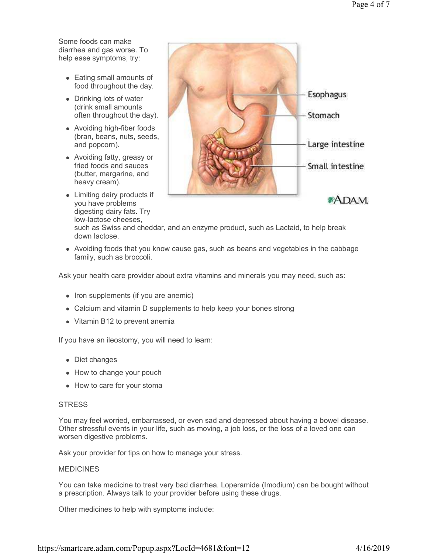Some foods can make diarrhea and gas worse. To help ease symptoms, try:

- Eating small amounts of food throughout the day.
- Drinking lots of water (drink small amounts often throughout the day).
- Avoiding high-fiber foods (bran, beans, nuts, seeds, and popcorn).
- Avoiding fatty, greasy or fried foods and sauces (butter, margarine, and heavy cream).
- Limiting dairy products if you have problems digesting dairy fats. Try low-lactose cheeses,



such as Swiss and cheddar, and an enzyme product, such as Lactaid, to help break down lactose.

 Avoiding foods that you know cause gas, such as beans and vegetables in the cabbage family, such as broccoli.

Ask your health care provider about extra vitamins and minerals you may need, such as:

- Iron supplements (if you are anemic)
- Calcium and vitamin D supplements to help keep your bones strong
- Vitamin B12 to prevent anemia

If you have an ileostomy, you will need to learn:

- Diet changes
- How to change your pouch
- How to care for your stoma

### **STRESS**

You may feel worried, embarrassed, or even sad and depressed about having a bowel disease. Other stressful events in your life, such as moving, a job loss, or the loss of a loved one can worsen digestive problems.

Ask your provider for tips on how to manage your stress.

### MEDICINES

You can take medicine to treat very bad diarrhea. Loperamide (Imodium) can be bought without a prescription. Always talk to your provider before using these drugs.

Other medicines to help with symptoms include: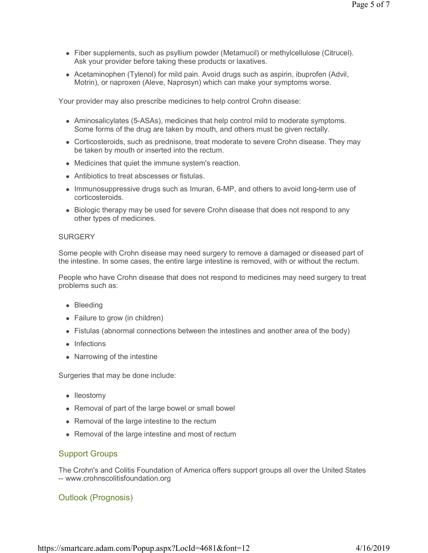- Fiber supplements, such as psyllium powder (Metamucil) or methylcellulose (Citrucel). Ask your provider before taking these products or laxatives.
- Acetaminophen (Tylenol) for mild pain. Avoid drugs such as aspirin, ibuprofen (Advil, Motrin), or naproxen (Aleve, Naprosyn) which can make your symptoms worse.

Your provider may also prescribe medicines to help control Crohn disease:

- Aminosalicylates (5-ASAs), medicines that help control mild to moderate symptoms. Some forms of the drug are taken by mouth, and others must be given rectally.
- Corticosteroids, such as prednisone, treat moderate to severe Crohn disease. They may be taken by mouth or inserted into the rectum.
- Medicines that quiet the immune system's reaction.
- Antibiotics to treat abscesses or fistulas.
- Immunosuppressive drugs such as Imuran, 6-MP, and others to avoid long-term use of corticosteroids.
- Biologic therapy may be used for severe Crohn disease that does not respond to any other types of medicines.

#### **SURGERY**

Some people with Crohn disease may need surgery to remove a damaged or diseased part of the intestine. In some cases, the entire large intestine is removed, with or without the rectum.

People who have Crohn disease that does not respond to medicines may need surgery to treat problems such as:

- Bleeding
- Failure to grow (in children)
- Fistulas (abnormal connections between the intestines and another area of the body)
- Infections
- Narrowing of the intestine

Surgeries that may be done include:

- Ileostomy
- Removal of part of the large bowel or small bowel
- Removal of the large intestine to the rectum
- Removal of the large intestine and most of rectum

## Support Groups

The Crohn's and Colitis Foundation of America offers support groups all over the United States -- www.crohnscolitisfoundation.org

## Outlook (Prognosis)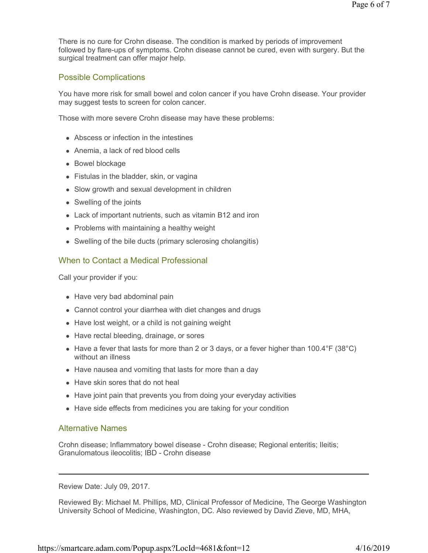There is no cure for Crohn disease. The condition is marked by periods of improvement followed by flare-ups of symptoms. Crohn disease cannot be cured, even with surgery. But the surgical treatment can offer major help.

## Possible Complications

You have more risk for small bowel and colon cancer if you have Crohn disease. Your provider may suggest tests to screen for colon cancer.

Those with more severe Crohn disease may have these problems:

- Abscess or infection in the intestines
- Anemia, a lack of red blood cells
- Bowel blockage
- Fistulas in the bladder, skin, or vagina
- Slow growth and sexual development in children
- Swelling of the joints
- Lack of important nutrients, such as vitamin B12 and iron
- Problems with maintaining a healthy weight
- Swelling of the bile ducts (primary sclerosing cholangitis)

### When to Contact a Medical Professional

Call your provider if you:

- Have very bad abdominal pain
- Cannot control your diarrhea with diet changes and drugs
- Have lost weight, or a child is not gaining weight
- Have rectal bleeding, drainage, or sores
- Have a fever that lasts for more than 2 or 3 days, or a fever higher than  $100.4\textdegree F$  (38 $\textdegree C$ ) without an illness
- Have nausea and vomiting that lasts for more than a day
- Have skin sores that do not heal
- Have joint pain that prevents you from doing your everyday activities
- Have side effects from medicines you are taking for your condition

### Alternative Names

Crohn disease; Inflammatory bowel disease - Crohn disease; Regional enteritis; Ileitis; Granulomatous ileocolitis; IBD - Crohn disease

Review Date: July 09, 2017.

Reviewed By: Michael M. Phillips, MD, Clinical Professor of Medicine, The George Washington University School of Medicine, Washington, DC. Also reviewed by David Zieve, MD, MHA,